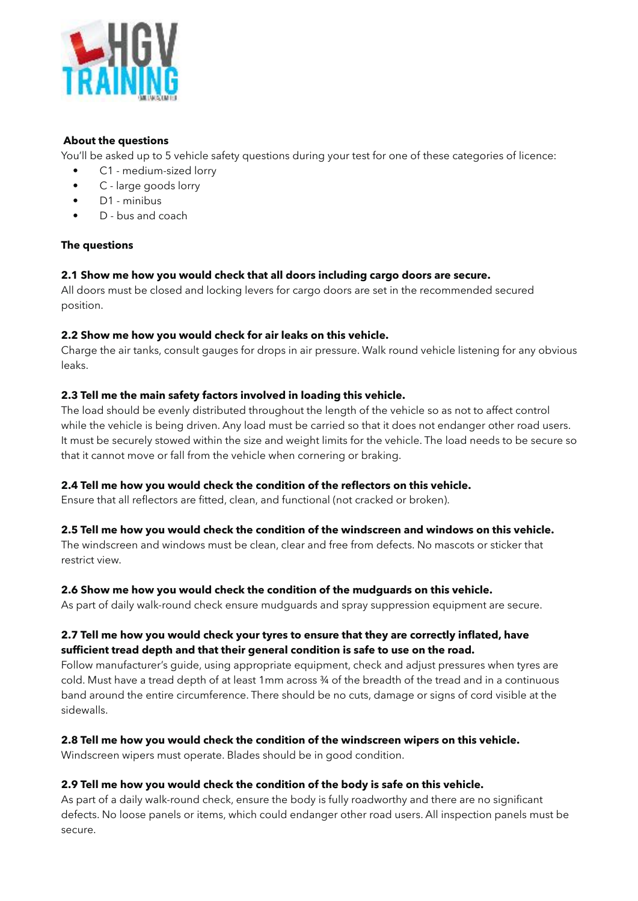

## **About the questions**

You'll be asked up to 5 vehicle safety questions during your test for one of these categories of licence:

- C1 medium-sized lorry
- C large goods lorry
- D1 minibus
- D bus and coach

# **The questions**

# **2.1 Show me how you would check that all doors including cargo doors are secure.**

All doors must be closed and locking levers for cargo doors are set in the recommended secured position.

## **2.2 Show me how you would check for air leaks on this vehicle.**

Charge the air tanks, consult gauges for drops in air pressure. Walk round vehicle listening for any obvious leaks.

# **2.3 Tell me the main safety factors involved in loading this vehicle.**

The load should be evenly distributed throughout the length of the vehicle so as not to affect control while the vehicle is being driven. Any load must be carried so that it does not endanger other road users. It must be securely stowed within the size and weight limits for the vehicle. The load needs to be secure so that it cannot move or fall from the vehicle when cornering or braking.

## **2.4 Tell me how you would check the condition of the reflectors on this vehicle.**

Ensure that all reflectors are fitted, clean, and functional (not cracked or broken).

## **2.5 Tell me how you would check the condition of the windscreen and windows on this vehicle.**

The windscreen and windows must be clean, clear and free from defects. No mascots or sticker that restrict view.

## **2.6 Show me how you would check the condition of the mudguards on this vehicle.**

As part of daily walk-round check ensure mudguards and spray suppression equipment are secure.

# **2.7 Tell me how you would check your tyres to ensure that they are correctly inflated, have sufficient tread depth and that their general condition is safe to use on the road.**

Follow manufacturer's guide, using appropriate equipment, check and adjust pressures when tyres are cold. Must have a tread depth of at least 1mm across  $\frac{3}{4}$  of the breadth of the tread and in a continuous band around the entire circumference. There should be no cuts, damage or signs of cord visible at the sidewalls.

# **2.8 Tell me how you would check the condition of the windscreen wipers on this vehicle.**

Windscreen wipers must operate. Blades should be in good condition.

## **2.9 Tell me how you would check the condition of the body is safe on this vehicle.**

As part of a daily walk-round check, ensure the body is fully roadworthy and there are no significant defects. No loose panels or items, which could endanger other road users. All inspection panels must be secure.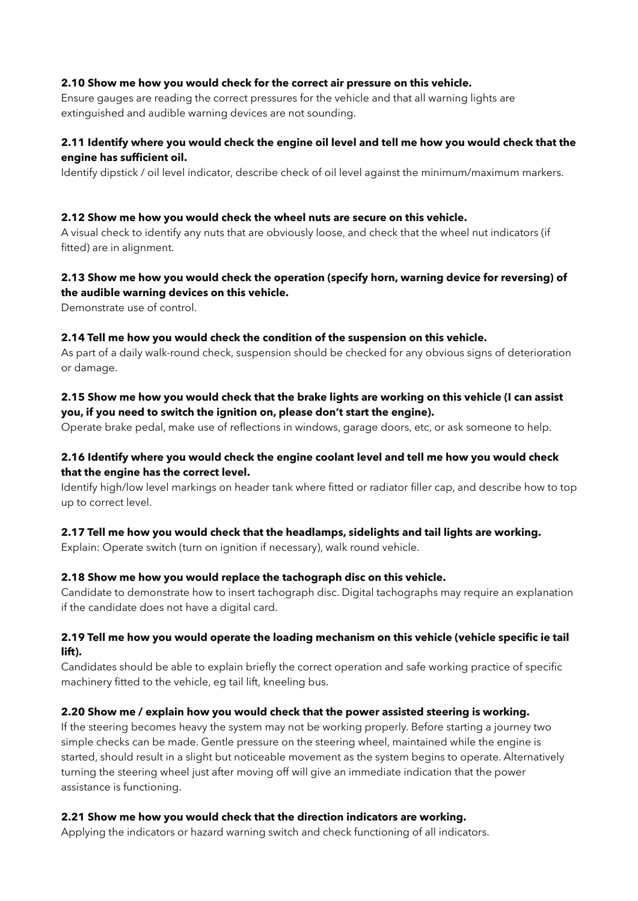#### **2.10 Show me how you would check for the correct air pressure on this vehicle.**

Ensure gauges are reading the correct pressures for the vehicle and that all warning lights are extinguished and audible warning devices are not sounding.

## **2.11 Identify where you would check the engine oil level and tell me how you would check that the engine has sufficient oil.**

Identify dipstick / oil level indicator, describe check of oil level against the minimum/maximum markers.

#### **2.12 Show me how you would check the wheel nuts are secure on this vehicle.**

A visual check to identify any nuts that are obviously loose, and check that the wheel nut indicators (if fitted) are in alignment.

#### **2.13 Show me how you would check the operation (specify horn, warning device for reversing) of the audible warning devices on this vehicle.**

Demonstrate use of control.

## **2.14 Tell me how you would check the condition of the suspension on this vehicle.**

As part of a daily walk-round check, suspension should be checked for any obvious signs of deterioration or damage.

#### **2.15 Show me how you would check that the brake lights are working on this vehicle (I can assist you, if you need to switch the ignition on, please don't start the engine).**

Operate brake pedal, make use of reflections in windows, garage doors, etc, or ask someone to help.

## **2.16 Identify where you would check the engine coolant level and tell me how you would check that the engine has the correct level.**

Identify high/low level markings on header tank where fitted or radiator filler cap, and describe how to top up to correct level.

#### **2.17 Tell me how you would check that the headlamps, sidelights and tail lights are working.**

Explain: Operate switch (turn on ignition if necessary), walk round vehicle.

#### **2.18 Show me how you would replace the tachograph disc on this vehicle.**

Candidate to demonstrate how to insert tachograph disc. Digital tachographs may require an explanation if the candidate does not have a digital card.

## **2.19 Tell me how you would operate the loading mechanism on this vehicle (vehicle specific ie tail lift).**

Candidates should be able to explain briefly the correct operation and safe working practice of specific machinery fitted to the vehicle, eg tail lift, kneeling bus.

#### **2.20 Show me / explain how you would check that the power assisted steering is working.**

If the steering becomes heavy the system may not be working properly. Before starting a journey two simple checks can be made. Gentle pressure on the steering wheel, maintained while the engine is started, should result in a slight but noticeable movement as the system begins to operate. Alternatively turning the steering wheel just after moving off will give an immediate indication that the power assistance is functioning.

#### **2.21 Show me how you would check that the direction indicators are working.**

Applying the indicators or hazard warning switch and check functioning of all indicators.